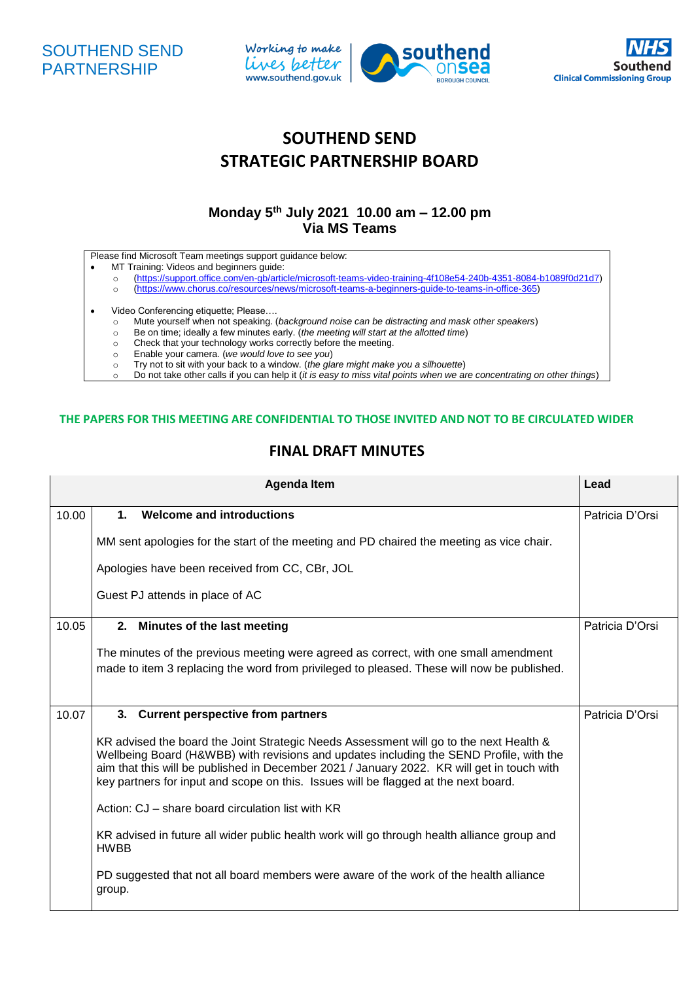





## **SOUTHEND SEND STRATEGIC PARTNERSHIP BOARD**

## **Monday 5 th July 2021 10.00 am – 12.00 pm Via MS Teams**

Please find Microsoft Team meetings support guidance below:

- MT Training: Videos and beginners guide:<br>
o (https://support.office.com/en-gb/artic
	- o [\(https://support.office.com/en-gb/article/microsoft-teams-video-training-4f108e54-240b-4351-8084-b1089f0d21d7\)](https://support.office.com/en-gb/article/microsoft-teams-video-training-4f108e54-240b-4351-8084-b1089f0d21d7)
	- o [\(https://www.chorus.co/resources/news/microsoft-teams-a-beginners-guide-to-teams-in-office-365\)](https://www.chorus.co/resources/news/microsoft-teams-a-beginners-guide-to-teams-in-office-365)
- Video Conferencing etiquette; Please….
	- o Mute yourself when not speaking. (*background noise can be distracting and mask other speakers*)
	- o Be on time; ideally a few minutes early. (*the meeting will start at the allotted time*)
	- o Check that your technology works correctly before the meeting.
	- o Enable your camera. (*we would love to see you*)
	- o Try not to sit with your back to a window. (*the glare might make you a silhouette*)
	- o Do not take other calls if you can help it (*it is easy to miss vital points when we are concentrating on other things*)

## **THE PAPERS FOR THIS MEETING ARE CONFIDENTIAL TO THOSE INVITED AND NOT TO BE CIRCULATED WIDER**

## **FINAL DRAFT MINUTES**

|       | <b>Agenda Item</b>                                                                                                                                                                                                                                                                                                                                                     | Lead            |  |  |  |
|-------|------------------------------------------------------------------------------------------------------------------------------------------------------------------------------------------------------------------------------------------------------------------------------------------------------------------------------------------------------------------------|-----------------|--|--|--|
| 10.00 | <b>Welcome and introductions</b><br>$\mathbf 1$ .                                                                                                                                                                                                                                                                                                                      | Patricia D'Orsi |  |  |  |
|       | MM sent apologies for the start of the meeting and PD chaired the meeting as vice chair.                                                                                                                                                                                                                                                                               |                 |  |  |  |
|       | Apologies have been received from CC, CBr, JOL                                                                                                                                                                                                                                                                                                                         |                 |  |  |  |
|       | Guest PJ attends in place of AC                                                                                                                                                                                                                                                                                                                                        |                 |  |  |  |
| 10.05 | 2.<br>Minutes of the last meeting                                                                                                                                                                                                                                                                                                                                      | Patricia D'Orsi |  |  |  |
|       | The minutes of the previous meeting were agreed as correct, with one small amendment<br>made to item 3 replacing the word from privileged to pleased. These will now be published.                                                                                                                                                                                     |                 |  |  |  |
| 10.07 | 3. Current perspective from partners                                                                                                                                                                                                                                                                                                                                   |                 |  |  |  |
|       | KR advised the board the Joint Strategic Needs Assessment will go to the next Health &<br>Wellbeing Board (H&WBB) with revisions and updates including the SEND Profile, with the<br>aim that this will be published in December 2021 / January 2022. KR will get in touch with<br>key partners for input and scope on this. Issues will be flagged at the next board. |                 |  |  |  |
|       | Action: CJ – share board circulation list with KR                                                                                                                                                                                                                                                                                                                      |                 |  |  |  |
|       | KR advised in future all wider public health work will go through health alliance group and<br><b>HWBB</b>                                                                                                                                                                                                                                                             |                 |  |  |  |
|       | PD suggested that not all board members were aware of the work of the health alliance<br>group.                                                                                                                                                                                                                                                                        |                 |  |  |  |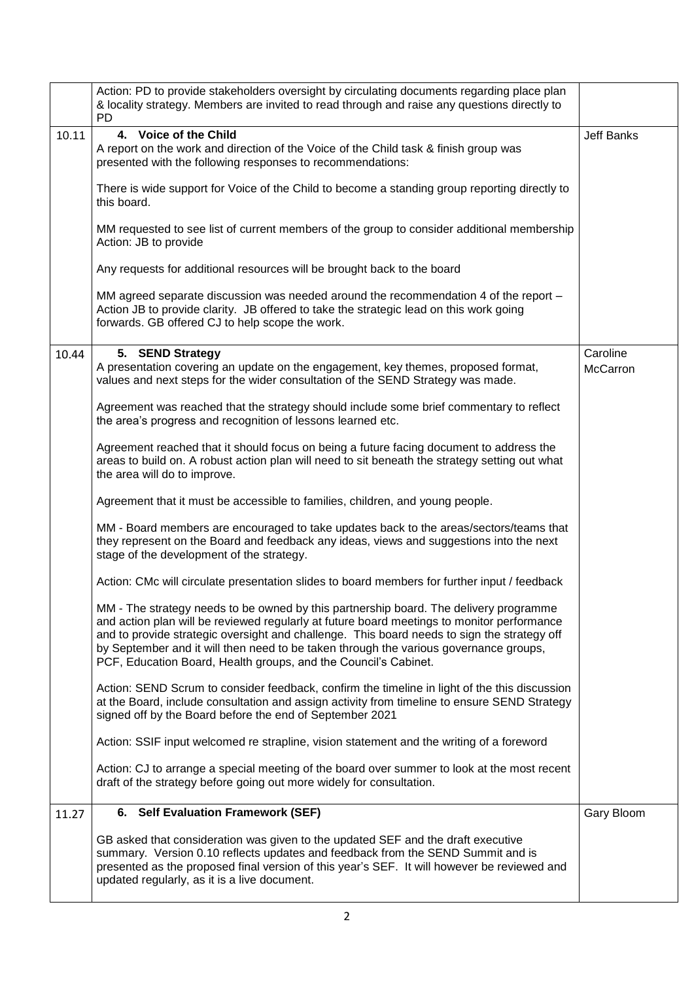|       | Action: PD to provide stakeholders oversight by circulating documents regarding place plan<br>& locality strategy. Members are invited to read through and raise any questions directly to<br><b>PD</b>                                                                                                                                                                                                                                        |                      |  |  |
|-------|------------------------------------------------------------------------------------------------------------------------------------------------------------------------------------------------------------------------------------------------------------------------------------------------------------------------------------------------------------------------------------------------------------------------------------------------|----------------------|--|--|
| 10.11 | 4. Voice of the Child<br>A report on the work and direction of the Voice of the Child task & finish group was<br>presented with the following responses to recommendations:                                                                                                                                                                                                                                                                    | <b>Jeff Banks</b>    |  |  |
|       | There is wide support for Voice of the Child to become a standing group reporting directly to<br>this board.                                                                                                                                                                                                                                                                                                                                   |                      |  |  |
|       | MM requested to see list of current members of the group to consider additional membership<br>Action: JB to provide                                                                                                                                                                                                                                                                                                                            |                      |  |  |
|       | Any requests for additional resources will be brought back to the board                                                                                                                                                                                                                                                                                                                                                                        |                      |  |  |
|       | MM agreed separate discussion was needed around the recommendation 4 of the report -<br>Action JB to provide clarity. JB offered to take the strategic lead on this work going<br>forwards. GB offered CJ to help scope the work.                                                                                                                                                                                                              |                      |  |  |
| 10.44 | 5. SEND Strategy<br>A presentation covering an update on the engagement, key themes, proposed format,<br>values and next steps for the wider consultation of the SEND Strategy was made.                                                                                                                                                                                                                                                       | Caroline<br>McCarron |  |  |
|       | Agreement was reached that the strategy should include some brief commentary to reflect<br>the area's progress and recognition of lessons learned etc.                                                                                                                                                                                                                                                                                         |                      |  |  |
|       | Agreement reached that it should focus on being a future facing document to address the<br>areas to build on. A robust action plan will need to sit beneath the strategy setting out what<br>the area will do to improve.                                                                                                                                                                                                                      |                      |  |  |
|       | Agreement that it must be accessible to families, children, and young people.                                                                                                                                                                                                                                                                                                                                                                  |                      |  |  |
|       | MM - Board members are encouraged to take updates back to the areas/sectors/teams that<br>they represent on the Board and feedback any ideas, views and suggestions into the next<br>stage of the development of the strategy.                                                                                                                                                                                                                 |                      |  |  |
|       | Action: CMc will circulate presentation slides to board members for further input / feedback                                                                                                                                                                                                                                                                                                                                                   |                      |  |  |
|       | MM - The strategy needs to be owned by this partnership board. The delivery programme<br>and action plan will be reviewed regularly at future board meetings to monitor performance<br>and to provide strategic oversight and challenge. This board needs to sign the strategy off<br>by September and it will then need to be taken through the various governance groups,<br>PCF, Education Board, Health groups, and the Council's Cabinet. |                      |  |  |
|       | Action: SEND Scrum to consider feedback, confirm the timeline in light of the this discussion<br>at the Board, include consultation and assign activity from timeline to ensure SEND Strategy<br>signed off by the Board before the end of September 2021                                                                                                                                                                                      |                      |  |  |
|       | Action: SSIF input welcomed re strapline, vision statement and the writing of a foreword                                                                                                                                                                                                                                                                                                                                                       |                      |  |  |
|       | Action: CJ to arrange a special meeting of the board over summer to look at the most recent<br>draft of the strategy before going out more widely for consultation.                                                                                                                                                                                                                                                                            |                      |  |  |
| 11.27 | 6. Self Evaluation Framework (SEF)                                                                                                                                                                                                                                                                                                                                                                                                             | Gary Bloom           |  |  |
|       | GB asked that consideration was given to the updated SEF and the draft executive<br>summary. Version 0.10 reflects updates and feedback from the SEND Summit and is<br>presented as the proposed final version of this year's SEF. It will however be reviewed and<br>updated regularly, as it is a live document.                                                                                                                             |                      |  |  |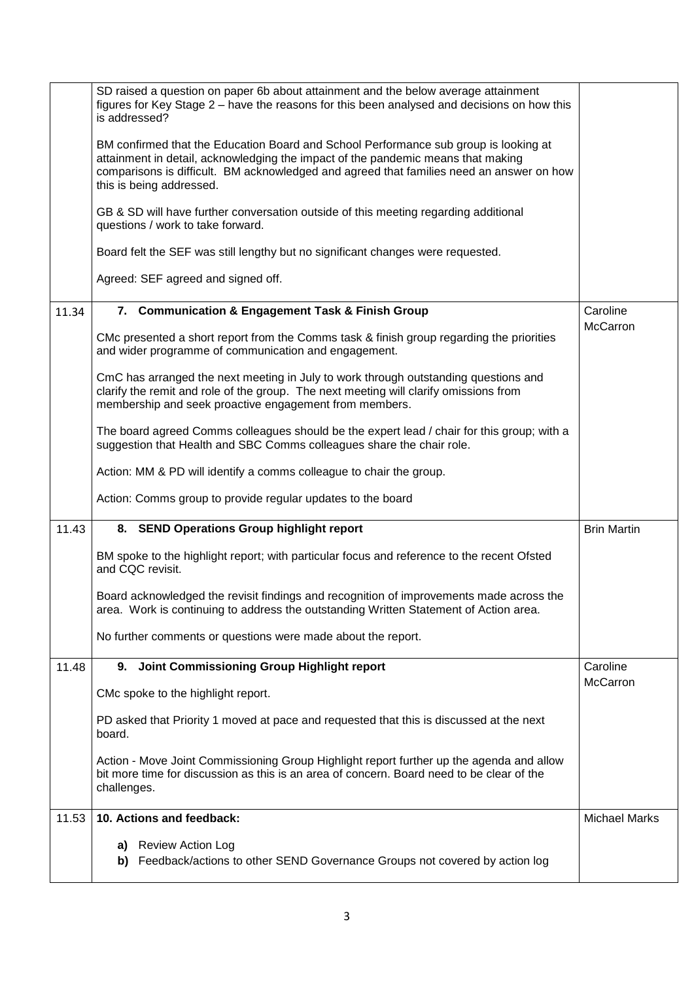|       | SD raised a question on paper 6b about attainment and the below average attainment<br>figures for Key Stage 2 - have the reasons for this been analysed and decisions on how this<br>is addressed?                                                                                               |                      |
|-------|--------------------------------------------------------------------------------------------------------------------------------------------------------------------------------------------------------------------------------------------------------------------------------------------------|----------------------|
|       | BM confirmed that the Education Board and School Performance sub group is looking at<br>attainment in detail, acknowledging the impact of the pandemic means that making<br>comparisons is difficult. BM acknowledged and agreed that families need an answer on how<br>this is being addressed. |                      |
|       | GB & SD will have further conversation outside of this meeting regarding additional<br>questions / work to take forward.                                                                                                                                                                         |                      |
|       | Board felt the SEF was still lengthy but no significant changes were requested.                                                                                                                                                                                                                  |                      |
|       | Agreed: SEF agreed and signed off.                                                                                                                                                                                                                                                               |                      |
| 11.34 | 7. Communication & Engagement Task & Finish Group                                                                                                                                                                                                                                                | Caroline             |
|       | CMc presented a short report from the Comms task & finish group regarding the priorities<br>and wider programme of communication and engagement.                                                                                                                                                 | McCarron             |
|       | CmC has arranged the next meeting in July to work through outstanding questions and<br>clarify the remit and role of the group. The next meeting will clarify omissions from<br>membership and seek proactive engagement from members.                                                           |                      |
|       | The board agreed Comms colleagues should be the expert lead / chair for this group; with a<br>suggestion that Health and SBC Comms colleagues share the chair role.                                                                                                                              |                      |
|       | Action: MM & PD will identify a comms colleague to chair the group.                                                                                                                                                                                                                              |                      |
|       | Action: Comms group to provide regular updates to the board                                                                                                                                                                                                                                      |                      |
| 11.43 | 8. SEND Operations Group highlight report                                                                                                                                                                                                                                                        | <b>Brin Martin</b>   |
|       | BM spoke to the highlight report; with particular focus and reference to the recent Ofsted<br>and CQC revisit.                                                                                                                                                                                   |                      |
|       | Board acknowledged the revisit findings and recognition of improvements made across the<br>area. Work is continuing to address the outstanding Written Statement of Action area.                                                                                                                 |                      |
|       | No further comments or questions were made about the report.                                                                                                                                                                                                                                     |                      |
| 11.48 | 9. Joint Commissioning Group Highlight report                                                                                                                                                                                                                                                    | Caroline             |
|       | CMc spoke to the highlight report.                                                                                                                                                                                                                                                               | McCarron             |
|       | PD asked that Priority 1 moved at pace and requested that this is discussed at the next<br>board.                                                                                                                                                                                                |                      |
|       | Action - Move Joint Commissioning Group Highlight report further up the agenda and allow<br>bit more time for discussion as this is an area of concern. Board need to be clear of the<br>challenges.                                                                                             |                      |
| 11.53 | 10. Actions and feedback:                                                                                                                                                                                                                                                                        | <b>Michael Marks</b> |
|       | a) Review Action Log                                                                                                                                                                                                                                                                             |                      |
|       | b) Feedback/actions to other SEND Governance Groups not covered by action log                                                                                                                                                                                                                    |                      |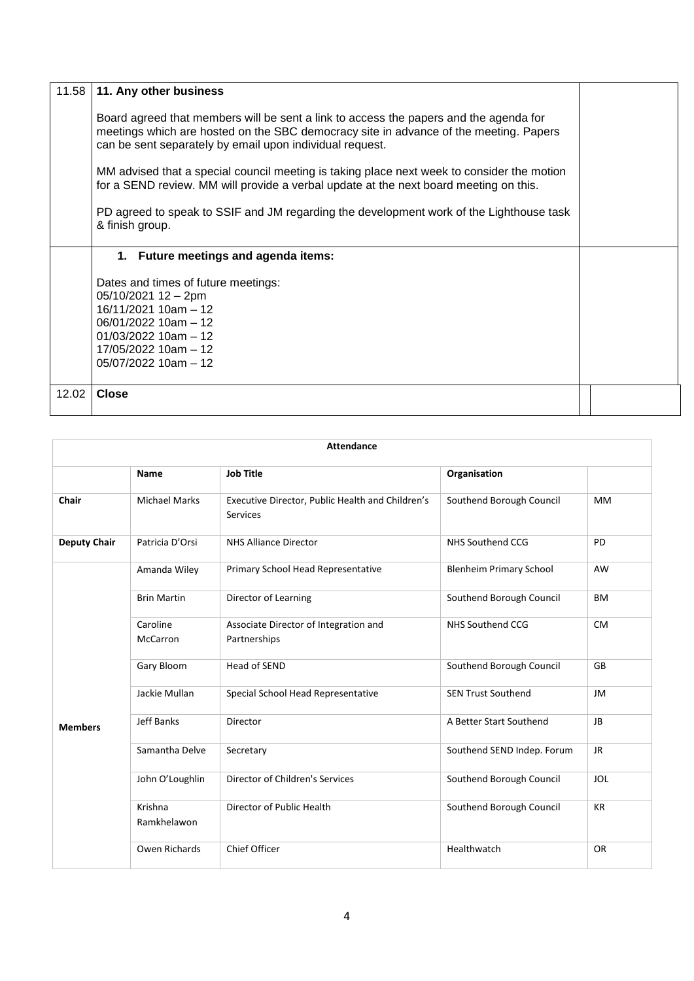| 11.58                                | 11. Any other business                                                                                                                                                                                                                     |  |  |  |
|--------------------------------------|--------------------------------------------------------------------------------------------------------------------------------------------------------------------------------------------------------------------------------------------|--|--|--|
|                                      | Board agreed that members will be sent a link to access the papers and the agenda for<br>meetings which are hosted on the SBC democracy site in advance of the meeting. Papers<br>can be sent separately by email upon individual request. |  |  |  |
|                                      | MM advised that a special council meeting is taking place next week to consider the motion<br>for a SEND review. MM will provide a verbal update at the next board meeting on this.                                                        |  |  |  |
|                                      | PD agreed to speak to SSIF and JM regarding the development work of the Lighthouse task<br>& finish group.                                                                                                                                 |  |  |  |
| 1. Future meetings and agenda items: |                                                                                                                                                                                                                                            |  |  |  |
|                                      | Dates and times of future meetings:<br>05/10/2021 12 - 2pm<br>$16/11/2021$ 10am - 12<br>$06/01/2022$ 10am $-12$<br>$01/03/2022$ 10am - 12<br>17/05/2022 10am - 12<br>$05/07/2022$ 10am - 12                                                |  |  |  |
| 12.02                                | <b>Close</b>                                                                                                                                                                                                                               |  |  |  |

| <b>Attendance</b>   |                             |                                                              |                                |            |
|---------------------|-----------------------------|--------------------------------------------------------------|--------------------------------|------------|
|                     | <b>Name</b>                 | <b>Job Title</b>                                             | Organisation                   |            |
| Chair               | <b>Michael Marks</b>        | Executive Director, Public Health and Children's<br>Services | Southend Borough Council       | <b>MM</b>  |
| <b>Deputy Chair</b> | Patricia D'Orsi             | <b>NHS Alliance Director</b>                                 | NHS Southend CCG               | PD         |
|                     | Amanda Wiley                | Primary School Head Representative                           | <b>Blenheim Primary School</b> | AW         |
|                     | <b>Brin Martin</b>          | Director of Learning                                         | Southend Borough Council       | <b>BM</b>  |
|                     | Caroline<br><b>McCarron</b> | Associate Director of Integration and<br>Partnerships        | NHS Southend CCG               | <b>CM</b>  |
|                     | Gary Bloom                  | Head of SEND                                                 | Southend Borough Council       | GB         |
|                     | Jackie Mullan               | Special School Head Representative                           | <b>SEN Trust Southend</b>      | JM         |
| <b>Members</b>      | <b>Jeff Banks</b>           | Director                                                     | A Better Start Southend        | <b>JB</b>  |
|                     | Samantha Delve              | Secretary                                                    | Southend SEND Indep. Forum     | JR.        |
|                     | John O'Loughlin             | Director of Children's Services                              | Southend Borough Council       | <b>JOL</b> |
|                     | Krishna<br>Ramkhelawon      | Director of Public Health                                    | Southend Borough Council       | <b>KR</b>  |
|                     | Owen Richards               | <b>Chief Officer</b>                                         | Healthwatch                    | <b>OR</b>  |